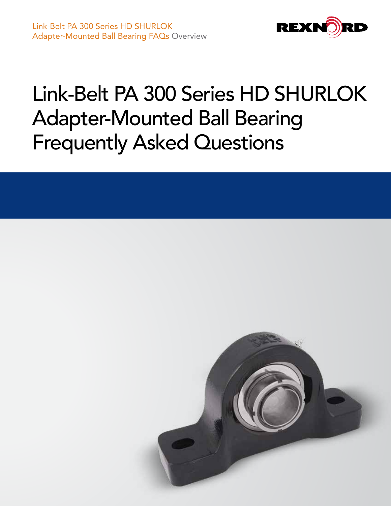

# Link-Belt PA 300 Series HD SHURLOK Adapter-Mounted Ball Bearing Frequently Asked Questions

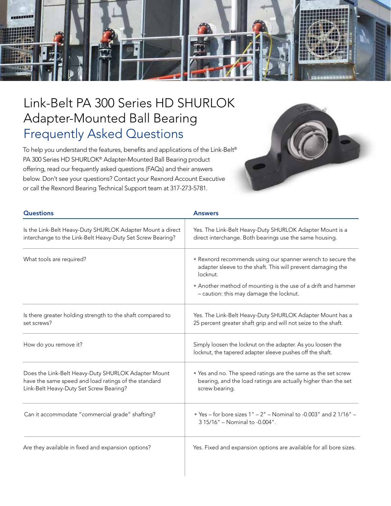

## Link-Belt PA 300 Series HD SHURLOK Adapter-Mounted Ball Bearing Frequently Asked Questions

To help you understand the features, benefits and applications of the Link-Belt® PA 300 Series HD SHURLOK® Adapter-Mounted Ball Bearing product offering, read our frequently asked questions (FAQs) and their answers below. Don't see your questions? Contact your Rexnord Account Executive or call the Rexnord Bearing Technical Support team at 317-273-5781.



| <b>Questions</b>                                                                                                                                       | <b>Answers</b>                                                                                                                                                                                                                                     |
|--------------------------------------------------------------------------------------------------------------------------------------------------------|----------------------------------------------------------------------------------------------------------------------------------------------------------------------------------------------------------------------------------------------------|
| Is the Link-Belt Heavy-Duty SHURLOK Adapter Mount a direct<br>interchange to the Link-Belt Heavy-Duty Set Screw Bearing?                               | Yes. The Link-Belt Heavy-Duty SHURLOK Adapter Mount is a<br>direct interchange. Both bearings use the same housing.                                                                                                                                |
| What tools are required?                                                                                                                               | • Rexnord recommends using our spanner wrench to secure the<br>adapter sleeve to the shaft. This will prevent damaging the<br>locknut.<br>• Another method of mounting is the use of a drift and hammer<br>- caution: this may damage the locknut. |
| Is there greater holding strength to the shaft compared to<br>set screws?                                                                              | Yes. The Link-Belt Heavy-Duty SHURLOK Adapter Mount has a<br>25 percent greater shaft grip and will not seize to the shaft.                                                                                                                        |
| How do you remove it?                                                                                                                                  | Simply loosen the locknut on the adapter. As you loosen the<br>locknut, the tapered adapter sleeve pushes off the shaft.                                                                                                                           |
| Does the Link-Belt Heavy-Duty SHURLOK Adapter Mount<br>have the same speed and load ratings of the standard<br>Link-Belt Heavy-Duty Set Screw Bearing? | • Yes and no. The speed ratings are the same as the set screw<br>bearing, and the load ratings are actually higher than the set<br>screw bearing.                                                                                                  |
| Can it accommodate "commercial grade" shafting?                                                                                                        | • Yes - for bore sizes $1" - 2"$ - Nominal to -0.003" and 21/16" -<br>3 15/16" - Nominal to -0.004".                                                                                                                                               |
| Are they available in fixed and expansion options?                                                                                                     | Yes. Fixed and expansion options are available for all bore sizes.                                                                                                                                                                                 |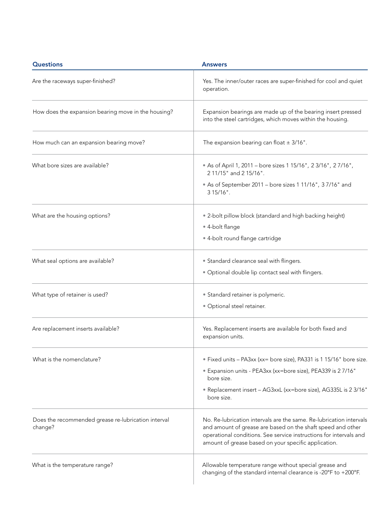| <b>Questions</b>                                               | <b>Answers</b>                                                                                                                                                                                                                                                   |
|----------------------------------------------------------------|------------------------------------------------------------------------------------------------------------------------------------------------------------------------------------------------------------------------------------------------------------------|
| Are the raceways super-finished?                               | Yes. The inner/outer races are super-finished for cool and quiet<br>operation.                                                                                                                                                                                   |
| How does the expansion bearing move in the housing?            | Expansion bearings are made up of the bearing insert pressed<br>into the steel cartridges, which moves within the housing.                                                                                                                                       |
| How much can an expansion bearing move?                        | The expansion bearing can float $\pm$ 3/16".                                                                                                                                                                                                                     |
| What bore sizes are available?                                 | • As of April 1, 2011 - bore sizes 1 15/16", 2 3/16", 2 7/16",<br>211/15" and 215/16".                                                                                                                                                                           |
|                                                                | • As of September 2011 - bore sizes 1 11/16", 3 7/16" and<br>$315/16$ ".                                                                                                                                                                                         |
| What are the housing options?                                  | • 2-bolt pillow block (standard and high backing height)                                                                                                                                                                                                         |
|                                                                | • 4-bolt flange                                                                                                                                                                                                                                                  |
|                                                                | • 4-bolt round flange cartridge                                                                                                                                                                                                                                  |
| What seal options are available?                               | • Standard clearance seal with flingers.                                                                                                                                                                                                                         |
|                                                                | . Optional double lip contact seal with flingers.                                                                                                                                                                                                                |
| What type of retainer is used?                                 | • Standard retainer is polymeric.                                                                                                                                                                                                                                |
|                                                                | · Optional steel retainer.                                                                                                                                                                                                                                       |
| Are replacement inserts available?                             | Yes. Replacement inserts are available for both fixed and<br>expansion units.                                                                                                                                                                                    |
| What is the nomenclature?                                      | • Fixed units - PA3xx (xx= bore size), PA331 is 1 15/16" bore size.                                                                                                                                                                                              |
|                                                                | • Expansion units - PEA3xx (xx=bore size), PEA339 is 2 7/16"<br>bore size.                                                                                                                                                                                       |
|                                                                | • Replacement insert - AG3xxL (xx=bore size), AG335L is 2 3/16"<br>bore size.                                                                                                                                                                                    |
| Does the recommended grease re-lubrication interval<br>change? | No. Re-lubrication intervals are the same. Re-lubrication intervals<br>and amount of grease are based on the shaft speed and other<br>operational conditions. See service instructions for intervals and<br>amount of grease based on your specific application. |
| What is the temperature range?                                 | Allowable temperature range without special grease and<br>changing of the standard internal clearance is -20°F to +200°F.                                                                                                                                        |